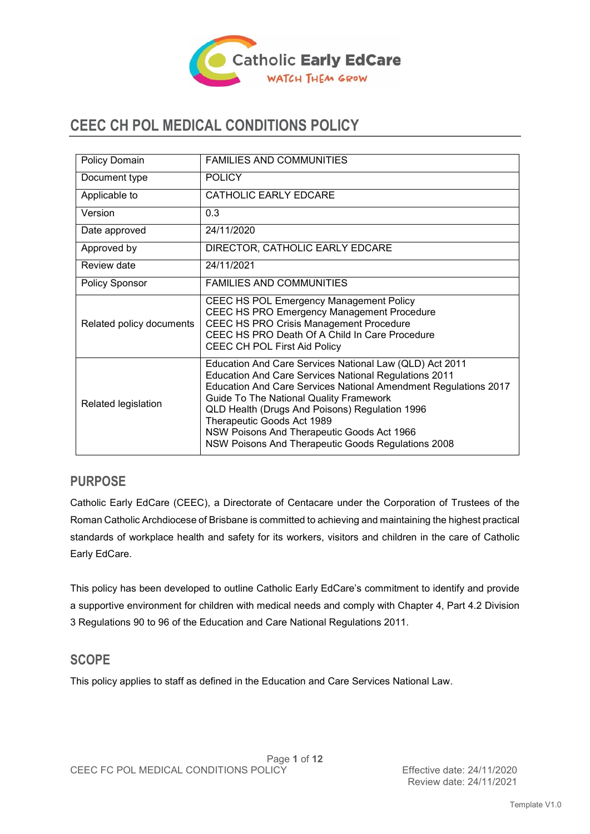

# **CEEC CH POL MEDICAL CONDITIONS POLICY**

| Policy Domain            | <b>FAMILIES AND COMMUNITIES</b>                                                                                                                                                                                                                                                                                                                                                                                                  |
|--------------------------|----------------------------------------------------------------------------------------------------------------------------------------------------------------------------------------------------------------------------------------------------------------------------------------------------------------------------------------------------------------------------------------------------------------------------------|
| Document type            | <b>POLICY</b>                                                                                                                                                                                                                                                                                                                                                                                                                    |
| Applicable to            | CATHOLIC EARLY EDCARE                                                                                                                                                                                                                                                                                                                                                                                                            |
| Version                  | 0.3                                                                                                                                                                                                                                                                                                                                                                                                                              |
| Date approved            | 24/11/2020                                                                                                                                                                                                                                                                                                                                                                                                                       |
| Approved by              | DIRECTOR, CATHOLIC EARLY EDCARE                                                                                                                                                                                                                                                                                                                                                                                                  |
| Review date              | 24/11/2021                                                                                                                                                                                                                                                                                                                                                                                                                       |
| <b>Policy Sponsor</b>    | <b>FAMILIES AND COMMUNITIES</b>                                                                                                                                                                                                                                                                                                                                                                                                  |
| Related policy documents | <b>CEEC HS POL Emergency Management Policy</b><br>CEEC HS PRO Emergency Management Procedure<br>CEEC HS PRO Crisis Management Procedure<br>CEEC HS PRO Death Of A Child In Care Procedure<br>CEEC CH POL First Aid Policy                                                                                                                                                                                                        |
| Related legislation      | Education And Care Services National Law (QLD) Act 2011<br><b>Education And Care Services National Regulations 2011</b><br>Education And Care Services National Amendment Regulations 2017<br><b>Guide To The National Quality Framework</b><br>QLD Health (Drugs And Poisons) Regulation 1996<br>Therapeutic Goods Act 1989<br>NSW Poisons And Therapeutic Goods Act 1966<br>NSW Poisons And Therapeutic Goods Regulations 2008 |

### **PURPOSE**

Catholic Early EdCare (CEEC), a Directorate of Centacare under the Corporation of Trustees of the Roman Catholic Archdiocese of Brisbane is committed to achieving and maintaining the highest practical standards of workplace health and safety for its workers, visitors and children in the care of Catholic Early EdCare.

This policy has been developed to outline Catholic Early EdCare's commitment to identify and provide a supportive environment for children with medical needs and comply with Chapter 4, Part 4.2 Division 3 Regulations 90 to 96 of the Education and Care National Regulations 2011.

### **SCOPE**

This policy applies to staff as defined in the Education and Care Services National Law.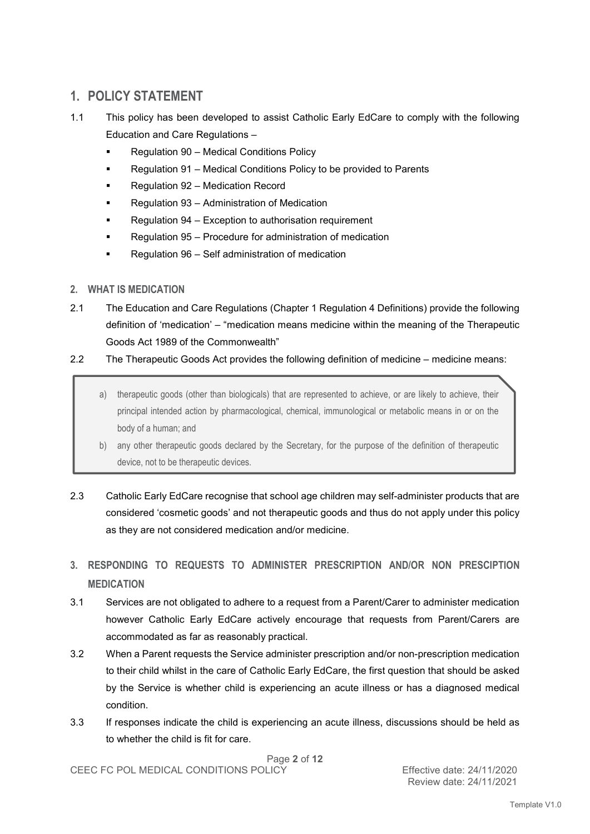# **1. POLICY STATEMENT**

- 1.1 This policy has been developed to assist Catholic Early EdCare to comply with the following Education and Care Regulations –
	- Regulation 90 Medical Conditions Policy
	- Regulation 91 Medical Conditions Policy to be provided to Parents
	- Regulation 92 Medication Record
	- Regulation 93 Administration of Medication
	- Regulation 94 Exception to authorisation requirement
	- Regulation 95 Procedure for administration of medication
	- Regulation 96 Self administration of medication
- **2. WHAT IS MEDICATION**
- 2.1 The Education and Care Regulations (Chapter 1 Regulation 4 Definitions) provide the following definition of 'medication' – "medication means medicine within the meaning of the Therapeutic Goods Act 1989 of the Commonwealth"

#### 2.2 The Therapeutic Goods Act provides the following definition of medicine – medicine means:

- a) therapeutic goods (other than biologicals) that are represented to achieve, or are likely to achieve, their principal intended action by pharmacological, chemical, immunological or metabolic means in or on the body of a human; and
- b) any other therapeutic goods declared by the Secretary, for the purpose of the definition of therapeutic device, not to be therapeutic devices.
- 2.3 Catholic Early EdCare recognise that school age children may self-administer products that are considered 'cosmetic goods' and not therapeutic goods and thus do not apply under this policy as they are not considered medication and/or medicine.
- **3. RESPONDING TO REQUESTS TO ADMINISTER PRESCRIPTION AND/OR NON PRESCIPTION MEDICATION**
- 3.1 Services are not obligated to adhere to a request from a Parent/Carer to administer medication however Catholic Early EdCare actively encourage that requests from Parent/Carers are accommodated as far as reasonably practical.
- 3.2 When a Parent requests the Service administer prescription and/or non-prescription medication to their child whilst in the care of Catholic Early EdCare, the first question that should be asked by the Service is whether child is experiencing an acute illness or has a diagnosed medical condition.
- 3.3 If responses indicate the child is experiencing an acute illness, discussions should be held as to whether the child is fit for care.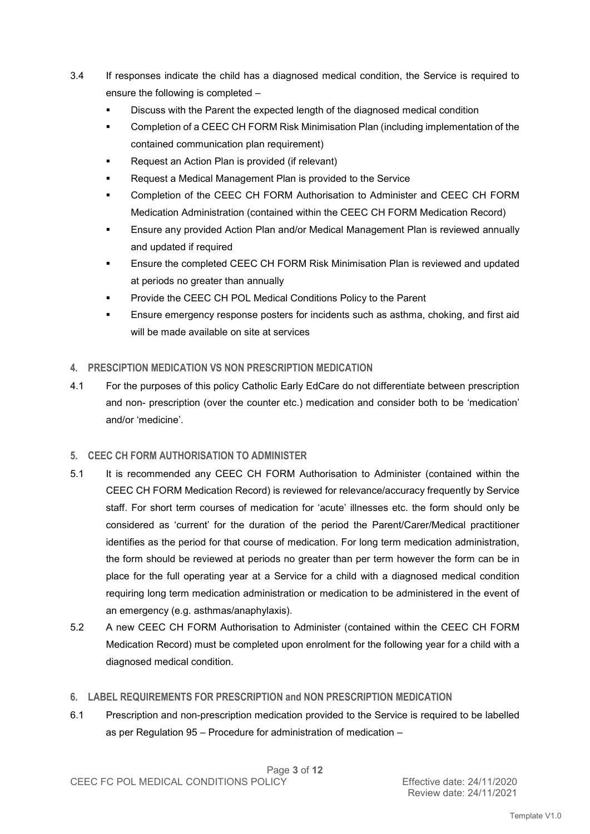- 3.4 If responses indicate the child has a diagnosed medical condition, the Service is required to ensure the following is completed –
	- Discuss with the Parent the expected length of the diagnosed medical condition
	- Completion of a CEEC CH FORM Risk Minimisation Plan (including implementation of the contained communication plan requirement)
	- Request an Action Plan is provided (if relevant)
	- Request a Medical Management Plan is provided to the Service
	- Completion of the CEEC CH FORM Authorisation to Administer and CEEC CH FORM Medication Administration (contained within the CEEC CH FORM Medication Record)
	- Ensure any provided Action Plan and/or Medical Management Plan is reviewed annually and updated if required
	- Ensure the completed CEEC CH FORM Risk Minimisation Plan is reviewed and updated at periods no greater than annually
	- Provide the CEEC CH POL Medical Conditions Policy to the Parent
	- Ensure emergency response posters for incidents such as asthma, choking, and first aid will be made available on site at services

#### **4. PRESCIPTION MEDICATION VS NON PRESCRIPTION MEDICATION**

4.1 For the purposes of this policy Catholic Early EdCare do not differentiate between prescription and non- prescription (over the counter etc.) medication and consider both to be 'medication' and/or 'medicine'.

#### **5. CEEC CH FORM AUTHORISATION TO ADMINISTER**

- 5.1 It is recommended any CEEC CH FORM Authorisation to Administer (contained within the CEEC CH FORM Medication Record) is reviewed for relevance/accuracy frequently by Service staff. For short term courses of medication for 'acute' illnesses etc. the form should only be considered as 'current' for the duration of the period the Parent/Carer/Medical practitioner identifies as the period for that course of medication. For long term medication administration, the form should be reviewed at periods no greater than per term however the form can be in place for the full operating year at a Service for a child with a diagnosed medical condition requiring long term medication administration or medication to be administered in the event of an emergency (e.g. asthmas/anaphylaxis).
- 5.2 A new CEEC CH FORM Authorisation to Administer (contained within the CEEC CH FORM Medication Record) must be completed upon enrolment for the following year for a child with a diagnosed medical condition.

#### **6. LABEL REQUIREMENTS FOR PRESCRIPTION and NON PRESCRIPTION MEDICATION**

6.1 Prescription and non-prescription medication provided to the Service is required to be labelled as per Regulation 95 – Procedure for administration of medication –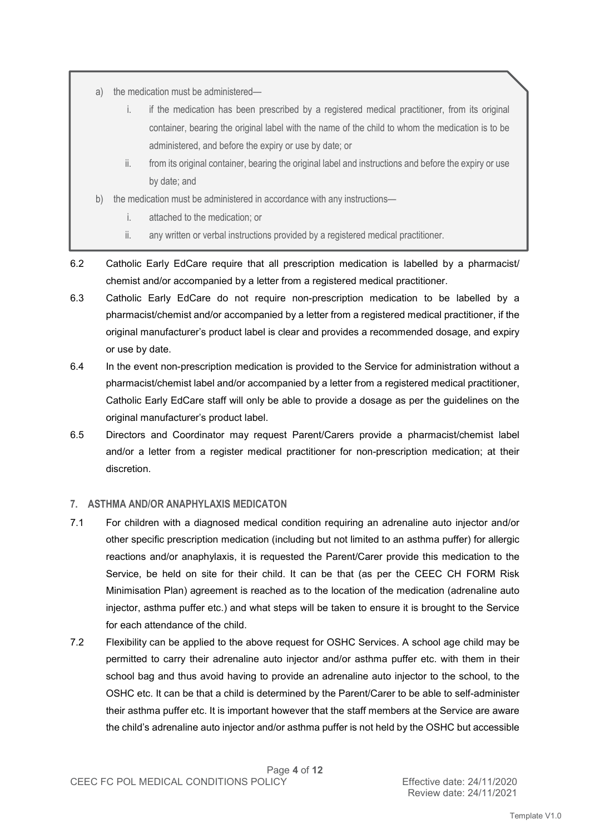- a) the medication must be administered
	- i. if the medication has been prescribed by a registered medical practitioner, from its original container, bearing the original label with the name of the child to whom the medication is to be administered, and before the expiry or use by date; or
	- ii. from its original container, bearing the original label and instructions and before the expiry or use by date; and
- b) the medication must be administered in accordance with any instructions
	- i. attached to the medication; or
	- ii. any written or verbal instructions provided by a registered medical practitioner.
- 6.2 Catholic Early EdCare require that all prescription medication is labelled by a pharmacist/ chemist and/or accompanied by a letter from a registered medical practitioner.
- 6.3 Catholic Early EdCare do not require non-prescription medication to be labelled by a pharmacist/chemist and/or accompanied by a letter from a registered medical practitioner, if the original manufacturer's product label is clear and provides a recommended dosage, and expiry or use by date.
- 6.4 In the event non-prescription medication is provided to the Service for administration without a pharmacist/chemist label and/or accompanied by a letter from a registered medical practitioner, Catholic Early EdCare staff will only be able to provide a dosage as per the guidelines on the original manufacturer's product label.
- 6.5 Directors and Coordinator may request Parent/Carers provide a pharmacist/chemist label and/or a letter from a register medical practitioner for non-prescription medication; at their discretion.

#### **7. ASTHMA AND/OR ANAPHYLAXIS MEDICATON**

- 7.1 For children with a diagnosed medical condition requiring an adrenaline auto injector and/or other specific prescription medication (including but not limited to an asthma puffer) for allergic reactions and/or anaphylaxis, it is requested the Parent/Carer provide this medication to the Service, be held on site for their child. It can be that (as per the CEEC CH FORM Risk Minimisation Plan) agreement is reached as to the location of the medication (adrenaline auto injector, asthma puffer etc.) and what steps will be taken to ensure it is brought to the Service for each attendance of the child.
- 7.2 Flexibility can be applied to the above request for OSHC Services. A school age child may be permitted to carry their adrenaline auto injector and/or asthma puffer etc. with them in their school bag and thus avoid having to provide an adrenaline auto injector to the school, to the OSHC etc. It can be that a child is determined by the Parent/Carer to be able to self-administer their asthma puffer etc. It is important however that the staff members at the Service are aware the child's adrenaline auto injector and/or asthma puffer is not held by the OSHC but accessible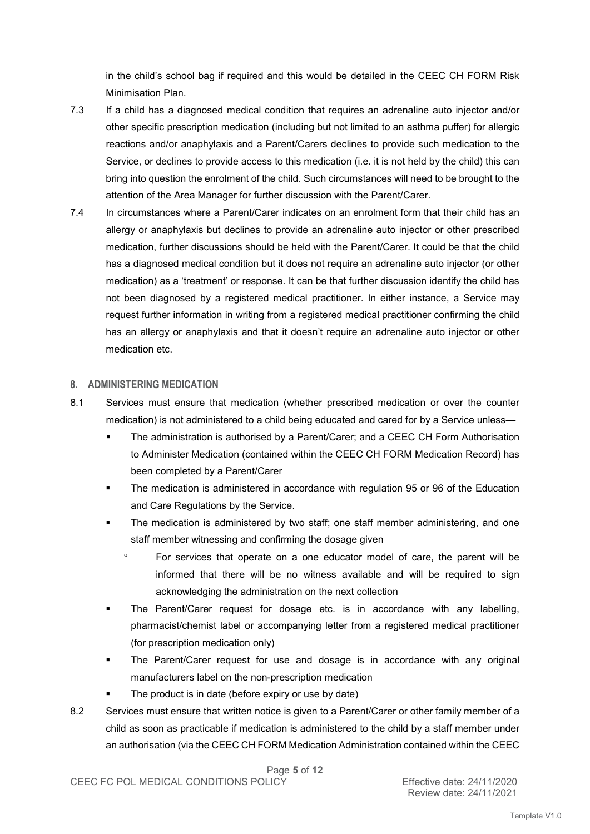in the child's school bag if required and this would be detailed in the CEEC CH FORM Risk Minimisation Plan.

- 7.3 If a child has a diagnosed medical condition that requires an adrenaline auto injector and/or other specific prescription medication (including but not limited to an asthma puffer) for allergic reactions and/or anaphylaxis and a Parent/Carers declines to provide such medication to the Service, or declines to provide access to this medication (i.e. it is not held by the child) this can bring into question the enrolment of the child. Such circumstances will need to be brought to the attention of the Area Manager for further discussion with the Parent/Carer.
- 7.4 In circumstances where a Parent/Carer indicates on an enrolment form that their child has an allergy or anaphylaxis but declines to provide an adrenaline auto injector or other prescribed medication, further discussions should be held with the Parent/Carer. It could be that the child has a diagnosed medical condition but it does not require an adrenaline auto injector (or other medication) as a 'treatment' or response. It can be that further discussion identify the child has not been diagnosed by a registered medical practitioner. In either instance, a Service may request further information in writing from a registered medical practitioner confirming the child has an allergy or anaphylaxis and that it doesn't require an adrenaline auto injector or other medication etc.

#### **8. ADMINISTERING MEDICATION**

- 8.1 Services must ensure that medication (whether prescribed medication or over the counter medication) is not administered to a child being educated and cared for by a Service unless—
	- The administration is authorised by a Parent/Carer; and a CEEC CH Form Authorisation to Administer Medication (contained within the CEEC CH FORM Medication Record) has been completed by a Parent/Carer
	- The medication is administered in accordance with regulation 95 or 96 of the Education and Care Regulations by the Service.
	- The medication is administered by two staff; one staff member administering, and one staff member witnessing and confirming the dosage given
		- ° For services that operate on a one educator model of care, the parent will be informed that there will be no witness available and will be required to sign acknowledging the administration on the next collection
	- The Parent/Carer request for dosage etc. is in accordance with any labelling, pharmacist/chemist label or accompanying letter from a registered medical practitioner (for prescription medication only)
	- The Parent/Carer request for use and dosage is in accordance with any original manufacturers label on the non-prescription medication
		- The product is in date (before expiry or use by date)
- 8.2 Services must ensure that written notice is given to a Parent/Carer or other family member of a child as soon as practicable if medication is administered to the child by a staff member under an authorisation (via the CEEC CH FORM Medication Administration contained within the CEEC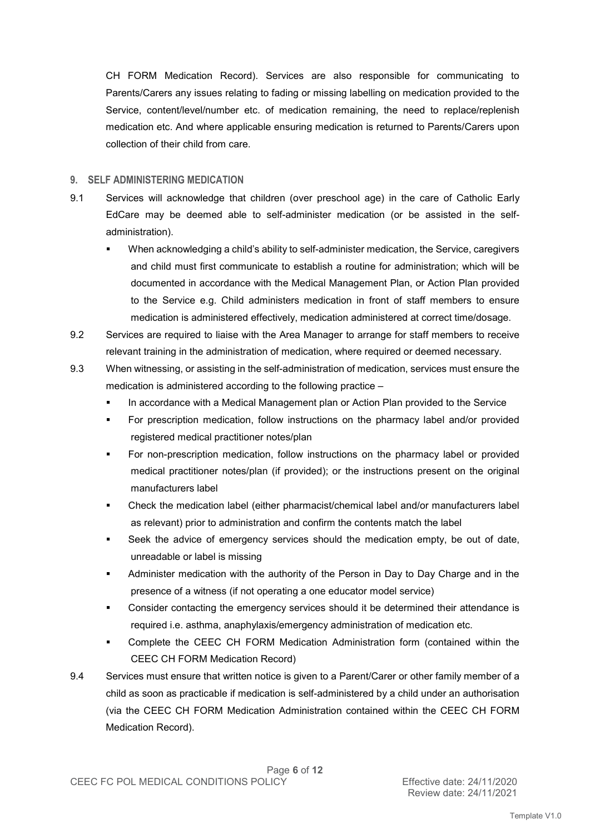CH FORM Medication Record). Services are also responsible for communicating to Parents/Carers any issues relating to fading or missing labelling on medication provided to the Service, content/level/number etc. of medication remaining, the need to replace/replenish medication etc. And where applicable ensuring medication is returned to Parents/Carers upon collection of their child from care.

#### **9. SELF ADMINISTERING MEDICATION**

- 9.1 Services will acknowledge that children (over preschool age) in the care of Catholic Early EdCare may be deemed able to self-administer medication (or be assisted in the selfadministration).
	- When acknowledging a child's ability to self-administer medication, the Service, caregivers and child must first communicate to establish a routine for administration; which will be documented in accordance with the Medical Management Plan, or Action Plan provided to the Service e.g. Child administers medication in front of staff members to ensure medication is administered effectively, medication administered at correct time/dosage.
- 9.2 Services are required to liaise with the Area Manager to arrange for staff members to receive relevant training in the administration of medication, where required or deemed necessary.
- 9.3 When witnessing, or assisting in the self-administration of medication, services must ensure the medication is administered according to the following practice –
	- In accordance with a Medical Management plan or Action Plan provided to the Service
	- For prescription medication, follow instructions on the pharmacy label and/or provided registered medical practitioner notes/plan
	- For non-prescription medication, follow instructions on the pharmacy label or provided medical practitioner notes/plan (if provided); or the instructions present on the original manufacturers label
	- Check the medication label (either pharmacist/chemical label and/or manufacturers label as relevant) prior to administration and confirm the contents match the label
	- Seek the advice of emergency services should the medication empty, be out of date, unreadable or label is missing
	- Administer medication with the authority of the Person in Day to Day Charge and in the presence of a witness (if not operating a one educator model service)
	- Consider contacting the emergency services should it be determined their attendance is required i.e. asthma, anaphylaxis/emergency administration of medication etc.
	- Complete the CEEC CH FORM Medication Administration form (contained within the CEEC CH FORM Medication Record)
- 9.4 Services must ensure that written notice is given to a Parent/Carer or other family member of a child as soon as practicable if medication is self-administered by a child under an authorisation (via the CEEC CH FORM Medication Administration contained within the CEEC CH FORM Medication Record).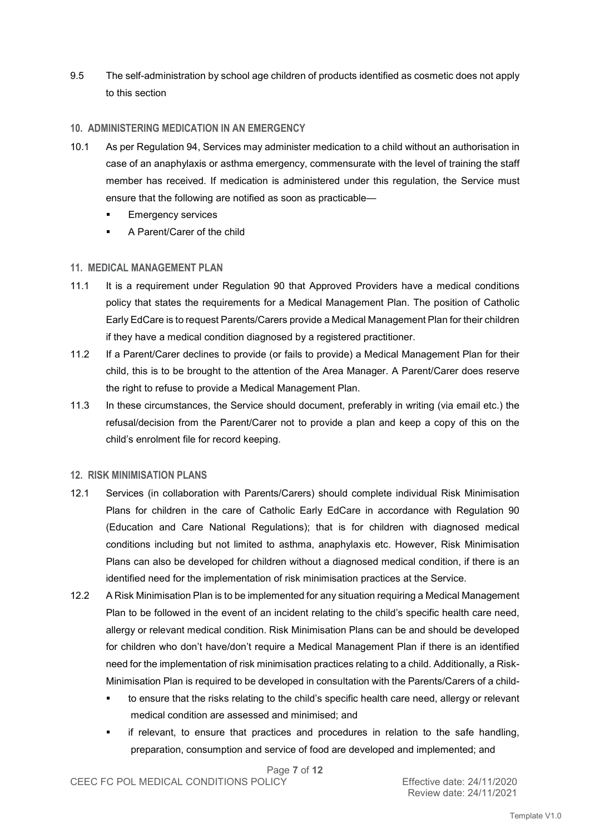9.5 The self-administration by school age children of products identified as cosmetic does not apply to this section

#### **10. ADMINISTERING MEDICATION IN AN EMERGENCY**

- 10.1 As per Regulation 94, Services may administer medication to a child without an authorisation in case of an anaphylaxis or asthma emergency, commensurate with the level of training the staff member has received. If medication is administered under this regulation, the Service must ensure that the following are notified as soon as practicable—
	- Emergency services
	- A Parent/Carer of the child

#### **11. MEDICAL MANAGEMENT PLAN**

- 11.1 It is a requirement under Regulation 90 that Approved Providers have a medical conditions policy that states the requirements for a Medical Management Plan. The position of Catholic Early EdCare is to request Parents/Carers provide a Medical Management Plan for their children if they have a medical condition diagnosed by a registered practitioner.
- 11.2 If a Parent/Carer declines to provide (or fails to provide) a Medical Management Plan for their child, this is to be brought to the attention of the Area Manager. A Parent/Carer does reserve the right to refuse to provide a Medical Management Plan.
- 11.3 In these circumstances, the Service should document, preferably in writing (via email etc.) the refusal/decision from the Parent/Carer not to provide a plan and keep a copy of this on the child's enrolment file for record keeping.

#### **12. RISK MINIMISATION PLANS**

- 12.1 Services (in collaboration with Parents/Carers) should complete individual Risk Minimisation Plans for children in the care of Catholic Early EdCare in accordance with Regulation 90 (Education and Care National Regulations); that is for children with diagnosed medical conditions including but not limited to asthma, anaphylaxis etc. However, Risk Minimisation Plans can also be developed for children without a diagnosed medical condition, if there is an identified need for the implementation of risk minimisation practices at the Service.
- 12.2 A Risk Minimisation Plan is to be implemented for any situation requiring a Medical Management Plan to be followed in the event of an incident relating to the child's specific health care need, allergy or relevant medical condition. Risk Minimisation Plans can be and should be developed for children who don't have/don't require a Medical Management Plan if there is an identified need for the implementation of risk minimisation practices relating to a child. Additionally, a Risk-Minimisation Plan is required to be developed in consultation with the Parents/Carers of a child
	- to ensure that the risks relating to the child's specific health care need, allergy or relevant medical condition are assessed and minimised; and
	- if relevant, to ensure that practices and procedures in relation to the safe handling, preparation, consumption and service of food are developed and implemented; and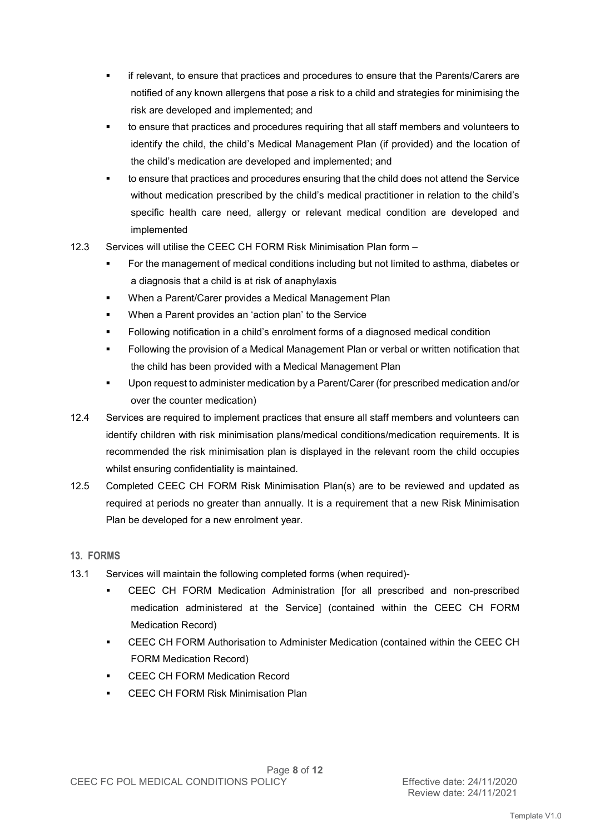- if relevant, to ensure that practices and procedures to ensure that the Parents/Carers are notified of any known allergens that pose a risk to a child and strategies for minimising the risk are developed and implemented; and
- to ensure that practices and procedures requiring that all staff members and volunteers to identify the child, the child's Medical Management Plan (if provided) and the location of the child's medication are developed and implemented; and
- to ensure that practices and procedures ensuring that the child does not attend the Service without medication prescribed by the child's medical practitioner in relation to the child's specific health care need, allergy or relevant medical condition are developed and implemented
- 12.3 Services will utilise the CEEC CH FORM Risk Minimisation Plan form
	- For the management of medical conditions including but not limited to asthma, diabetes or a diagnosis that a child is at risk of anaphylaxis
	- When a Parent/Carer provides a Medical Management Plan
	- When a Parent provides an 'action plan' to the Service
	- Following notification in a child's enrolment forms of a diagnosed medical condition
	- Following the provision of a Medical Management Plan or verbal or written notification that the child has been provided with a Medical Management Plan
	- Upon request to administer medication by a Parent/Carer (for prescribed medication and/or over the counter medication)
- 12.4 Services are required to implement practices that ensure all staff members and volunteers can identify children with risk minimisation plans/medical conditions/medication requirements. It is recommended the risk minimisation plan is displayed in the relevant room the child occupies whilst ensuring confidentiality is maintained.
- 12.5 Completed CEEC CH FORM Risk Minimisation Plan(s) are to be reviewed and updated as required at periods no greater than annually. It is a requirement that a new Risk Minimisation Plan be developed for a new enrolment year.

#### **13. FORMS**

- 13.1 Services will maintain the following completed forms (when required)-
	- CEEC CH FORM Medication Administration [for all prescribed and non-prescribed medication administered at the Service] (contained within the CEEC CH FORM Medication Record)
	- CEEC CH FORM Authorisation to Administer Medication (contained within the CEEC CH FORM Medication Record)
	- CEEC CH FORM Medication Record
	- CEEC CH FORM Risk Minimisation Plan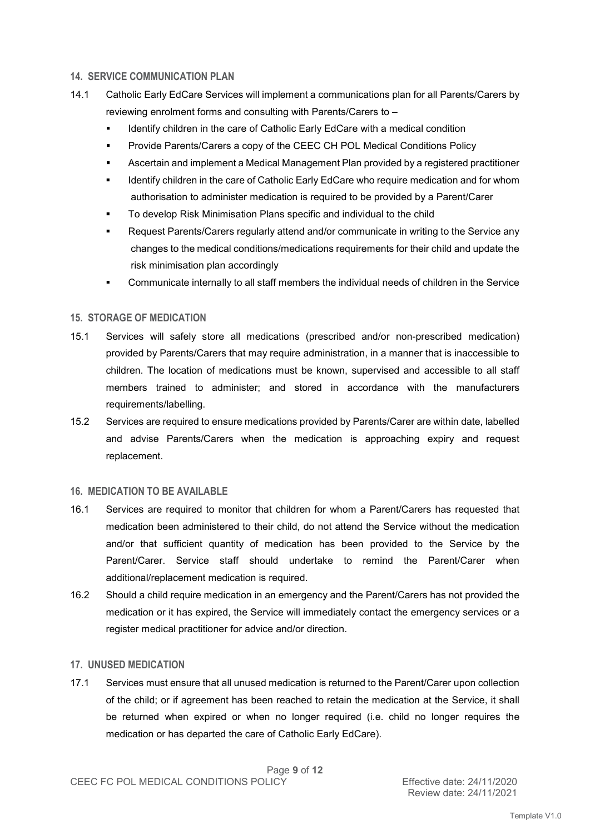#### **14. SERVICE COMMUNICATION PLAN**

- 14.1 Catholic Early EdCare Services will implement a communications plan for all Parents/Carers by reviewing enrolment forms and consulting with Parents/Carers to –
	- Identify children in the care of Catholic Early EdCare with a medical condition
	- Provide Parents/Carers a copy of the CEEC CH POL Medical Conditions Policy
	- Ascertain and implement a Medical Management Plan provided by a registered practitioner
	- **IDED 10** Identify children in the care of Catholic Early EdCare who require medication and for whom authorisation to administer medication is required to be provided by a Parent/Carer
	- To develop Risk Minimisation Plans specific and individual to the child
	- Request Parents/Carers regularly attend and/or communicate in writing to the Service any changes to the medical conditions/medications requirements for their child and update the risk minimisation plan accordingly
	- Communicate internally to all staff members the individual needs of children in the Service

#### **15. STORAGE OF MEDICATION**

- 15.1 Services will safely store all medications (prescribed and/or non-prescribed medication) provided by Parents/Carers that may require administration, in a manner that is inaccessible to children. The location of medications must be known, supervised and accessible to all staff members trained to administer; and stored in accordance with the manufacturers requirements/labelling.
- 15.2 Services are required to ensure medications provided by Parents/Carer are within date, labelled and advise Parents/Carers when the medication is approaching expiry and request replacement.

#### **16. MEDICATION TO BE AVAILABLE**

- 16.1 Services are required to monitor that children for whom a Parent/Carers has requested that medication been administered to their child, do not attend the Service without the medication and/or that sufficient quantity of medication has been provided to the Service by the Parent/Carer. Service staff should undertake to remind the Parent/Carer when additional/replacement medication is required.
- 16.2 Should a child require medication in an emergency and the Parent/Carers has not provided the medication or it has expired, the Service will immediately contact the emergency services or a register medical practitioner for advice and/or direction.

#### **17. UNUSED MEDICATION**

17.1 Services must ensure that all unused medication is returned to the Parent/Carer upon collection of the child; or if agreement has been reached to retain the medication at the Service, it shall be returned when expired or when no longer required (i.e. child no longer requires the medication or has departed the care of Catholic Early EdCare).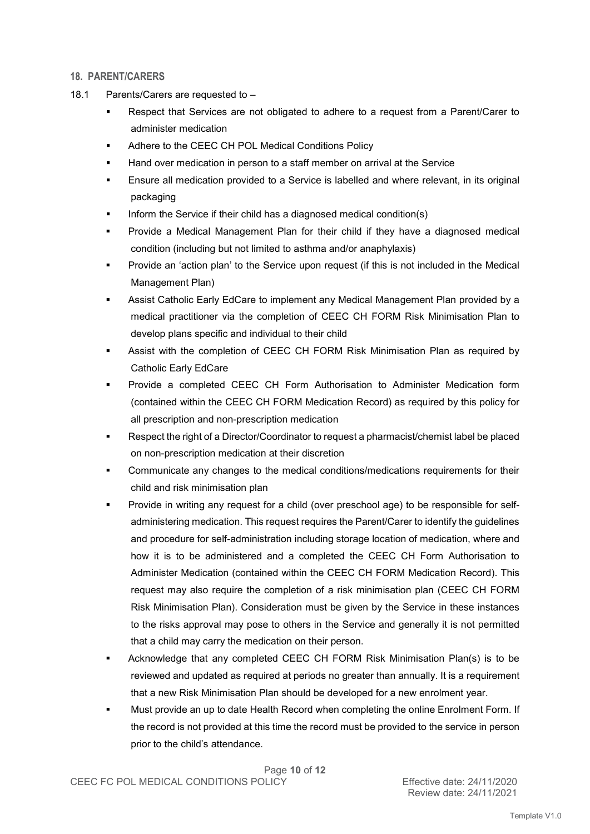#### **18. PARENT/CARERS**

- 18.1 Parents/Carers are requested to
	- Respect that Services are not obligated to adhere to a request from a Parent/Carer to administer medication
	- Adhere to the CEEC CH POL Medical Conditions Policy
	- Hand over medication in person to a staff member on arrival at the Service
	- Ensure all medication provided to a Service is labelled and where relevant, in its original packaging
	- Inform the Service if their child has a diagnosed medical condition(s)
	- Provide a Medical Management Plan for their child if they have a diagnosed medical condition (including but not limited to asthma and/or anaphylaxis)
	- Provide an 'action plan' to the Service upon request (if this is not included in the Medical Management Plan)
	- Assist Catholic Early EdCare to implement any Medical Management Plan provided by a medical practitioner via the completion of CEEC CH FORM Risk Minimisation Plan to develop plans specific and individual to their child
	- Assist with the completion of CEEC CH FORM Risk Minimisation Plan as required by Catholic Early EdCare
	- Provide a completed CEEC CH Form Authorisation to Administer Medication form (contained within the CEEC CH FORM Medication Record) as required by this policy for all prescription and non-prescription medication
	- Respect the right of a Director/Coordinator to request a pharmacist/chemist label be placed on non-prescription medication at their discretion
	- Communicate any changes to the medical conditions/medications requirements for their child and risk minimisation plan
	- Provide in writing any request for a child (over preschool age) to be responsible for selfadministering medication. This request requires the Parent/Carer to identify the guidelines and procedure for self-administration including storage location of medication, where and how it is to be administered and a completed the CEEC CH Form Authorisation to Administer Medication (contained within the CEEC CH FORM Medication Record). This request may also require the completion of a risk minimisation plan (CEEC CH FORM Risk Minimisation Plan). Consideration must be given by the Service in these instances to the risks approval may pose to others in the Service and generally it is not permitted that a child may carry the medication on their person.
	- Acknowledge that any completed CEEC CH FORM Risk Minimisation Plan(s) is to be reviewed and updated as required at periods no greater than annually. It is a requirement that a new Risk Minimisation Plan should be developed for a new enrolment year.
	- Must provide an up to date Health Record when completing the online Enrolment Form. If the record is not provided at this time the record must be provided to the service in person prior to the child's attendance.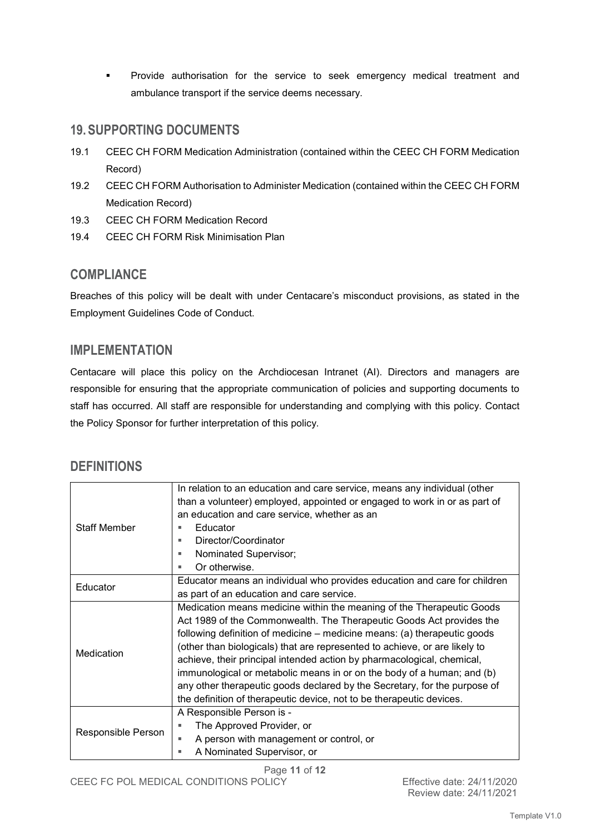**Provide authorisation for the service to seek emergency medical treatment and** ambulance transport if the service deems necessary.

# **19. SUPPORTING DOCUMENTS**

- 19.1 CEEC CH FORM Medication Administration (contained within the CEEC CH FORM Medication Record)
- 19.2 CEEC CH FORM Authorisation to Administer Medication (contained within the CEEC CH FORM Medication Record)
- 19.3 CEEC CH FORM Medication Record
- 19.4 CEEC CH FORM Risk Minimisation Plan

## **COMPLIANCE**

Breaches of this policy will be dealt with under Centacare's misconduct provisions, as stated in the Employment Guidelines Code of Conduct.

### **IMPLEMENTATION**

Centacare will place this policy on the Archdiocesan Intranet (AI). Directors and managers are responsible for ensuring that the appropriate communication of policies and supporting documents to staff has occurred. All staff are responsible for understanding and complying with this policy. Contact the Policy Sponsor for further interpretation of this policy.

## **DEFINITIONS**

| <b>Staff Member</b> | In relation to an education and care service, means any individual (other  |
|---------------------|----------------------------------------------------------------------------|
|                     | than a volunteer) employed, appointed or engaged to work in or as part of  |
|                     | an education and care service, whether as an                               |
|                     | Educator<br>٠                                                              |
|                     | Director/Coordinator<br>٠                                                  |
|                     | Nominated Supervisor;<br>٠                                                 |
|                     | Or otherwise.<br>٠                                                         |
| Educator            | Educator means an individual who provides education and care for children  |
|                     | as part of an education and care service.                                  |
| Medication          | Medication means medicine within the meaning of the Therapeutic Goods      |
|                     | Act 1989 of the Commonwealth. The Therapeutic Goods Act provides the       |
|                     | following definition of medicine – medicine means: (a) therapeutic goods   |
|                     | (other than biologicals) that are represented to achieve, or are likely to |
|                     | achieve, their principal intended action by pharmacological, chemical,     |
|                     | immunological or metabolic means in or on the body of a human; and (b)     |
|                     | any other therapeutic goods declared by the Secretary, for the purpose of  |
|                     | the definition of therapeutic device, not to be therapeutic devices.       |
| Responsible Person  | A Responsible Person is -                                                  |
|                     | The Approved Provider, or<br>٠                                             |
|                     | A person with management or control, or<br>٠                               |
|                     | A Nominated Supervisor, or<br>٠                                            |